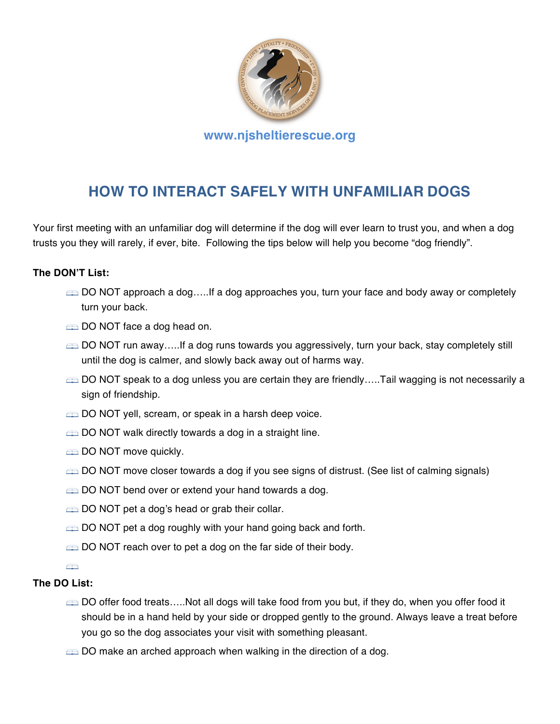

# **HOW TO INTERACT SAFELY WITH UNFAMILIAR DOGS**

Your first meeting with an unfamiliar dog will determine if the dog will ever learn to trust you, and when a dog trusts you they will rarely, if ever, bite. Following the tips below will help you become "dog friendly".

#### **The DON'T List:**

- DO NOT approach a dog…..If a dog approaches you, turn your face and body away or completely turn your back.
- DO NOT face a dog head on.
- DO NOT run away…..If a dog runs towards you aggressively, turn your back, stay completely still until the dog is calmer, and slowly back away out of harms way.
- DO NOT speak to a dog unless you are certain they are friendly.....Tail wagging is not necessarily a sign of friendship.
- **EXECTED DO NOT yell, scream, or speak in a harsh deep voice.**
- $\text{CD}$  DO NOT walk directly towards a dog in a straight line.
- **EXADO NOT move quickly.**
- **EXECTED NOT move closer towards a dog if you see signs of distrust. (See list of calming signals)**
- $\implies$  DO NOT bend over or extend your hand towards a dog.
- $\implies$  DO NOT pet a dog's head or grab their collar.
- $\implies$  DO NOT pet a dog roughly with your hand going back and forth.
- $\equiv$  DO NOT reach over to pet a dog on the far side of their body.
- $\bigoplus$

#### **The DO List:**

- DO offer food treats…..Not all dogs will take food from you but, if they do, when you offer food it should be in a hand held by your side or dropped gently to the ground. Always leave a treat before you go so the dog associates your visit with something pleasant.
- $\triangle$  DO make an arched approach when walking in the direction of a dog.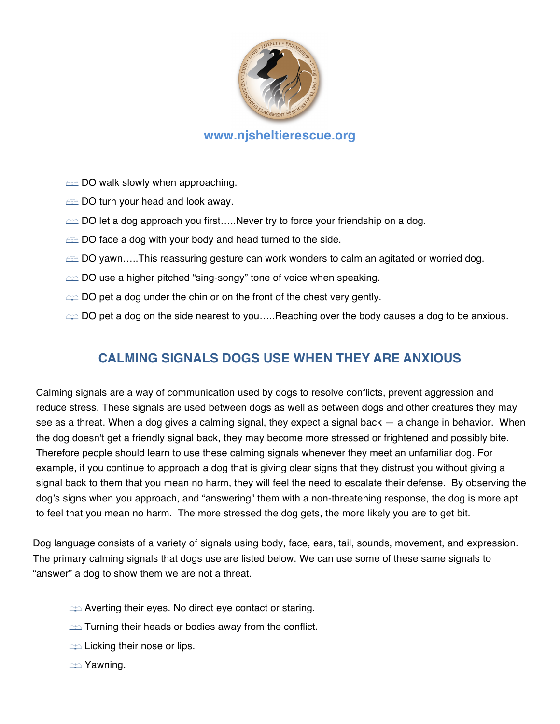

### **www.njsheltierescue.org**

 $\implies$  DO walk slowly when approaching.

- DO turn your head and look away.
- DO let a dog approach you first.....Never try to force your friendship on a dog.
- $\implies$  DO face a dog with your body and head turned to the side.
- ∈ DO yawn…..This reassuring gesture can work wonders to calm an agitated or worried dog.
- $\implies$  DO use a higher pitched "sing-songy" tone of voice when speaking.
- $\implies$  DO pet a dog under the chin or on the front of the chest very gently.
- DO pet a dog on the side nearest to you.....Reaching over the body causes a dog to be anxious.

### **CALMING SIGNALS DOGS USE WHEN THEY ARE ANXIOUS**

Calming signals are a way of communication used by dogs to resolve conflicts, prevent aggression and reduce stress. These signals are used between dogs as well as between dogs and other creatures they may see as a threat. When a dog gives a calming signal, they expect a signal back — a change in behavior. When the dog doesn't get a friendly signal back, they may become more stressed or frightened and possibly bite. Therefore people should learn to use these calming signals whenever they meet an unfamiliar dog. For example, if you continue to approach a dog that is giving clear signs that they distrust you without giving a signal back to them that you mean no harm, they will feel the need to escalate their defense. By observing the dog's signs when you approach, and "answering" them with a non-threatening response, the dog is more apt to feel that you mean no harm. The more stressed the dog gets, the more likely you are to get bit.

Dog language consists of a variety of signals using body, face, ears, tail, sounds, movement, and expression. The primary calming signals that dogs use are listed below. We can use some of these same signals to "answer" a dog to show them we are not a threat.

- $\implies$  Averting their eyes. No direct eye contact or staring.
- $\implies$  Turning their heads or bodies away from the conflict.
- **Example 1** Licking their nose or lips.
- **End** Yawning.